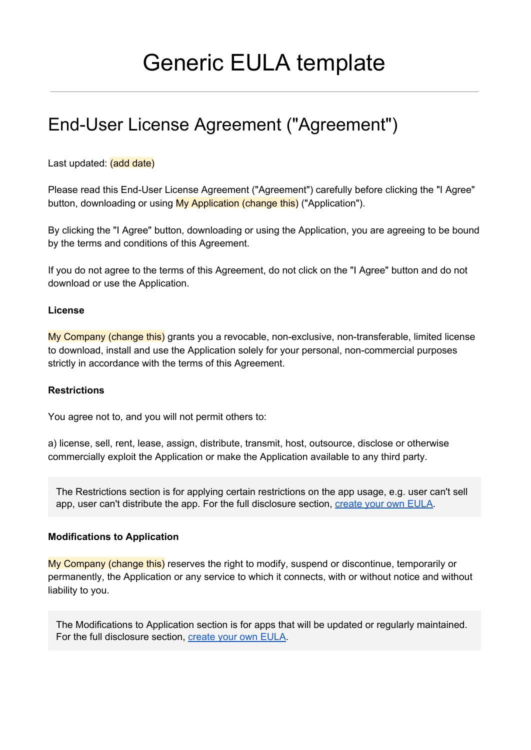# Generic EULA template

## End-User License Agreement ("Agreement")

### Last updated: (add date)

Please read this End-User License Agreement ("Agreement") carefully before clicking the "I Agree" button, downloading or using My Application (change this) ("Application").

By clicking the "I Agree" button, downloading or using the Application, you are agreeing to be bound by the terms and conditions of this Agreement.

If you do not agree to the terms of this Agreement, do not click on the "I Agree" button and do not download or use the Application.

#### **License**

My Company (change this) grants you a revocable, non-exclusive, non-transferable, limited license to download, install and use the Application solely for your personal, non-commercial purposes strictly in accordance with the terms of this Agreement.

#### **Restrictions**

You agree not to, and you will not permit others to:

a) license, sell, rent, lease, assign, distribute, transmit, host, outsource, disclose or otherwise commercially exploit the Application or make the Application available to any third party.

The Restrictions section is for applying certain restrictions on the app usage, e.g. user can't sell app, user can't distribute the app. For the full disclosure section, [create](https://termsfeed.com/eula/generator/?utm_source=Generic&utm_medium=PDF&utm_campaign=EULA+Templates&utm_nooverride=1) your own EULA.

### **Modifications to Application**

My Company (change this) reserves the right to modify, suspend or discontinue, temporarily or permanently, the Application or any service to which it connects, with or without notice and without liability to you.

The Modifications to Application section is for apps that will be updated or regularly maintained. For the full disclosure section, [create](https://termsfeed.com/eula/generator/?utm_source=Generic&utm_medium=PDF&utm_campaign=EULA+Templates&utm_nooverride=1) your own EULA.